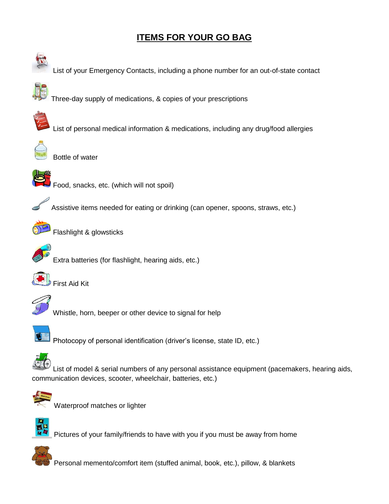## **ITEMS FOR YOUR GO BAG**





Waterproof matches or lighter



Pictures of your family/friends to have with you if you must be away from home



Personal memento/comfort item (stuffed animal, book, etc.), pillow, & blankets